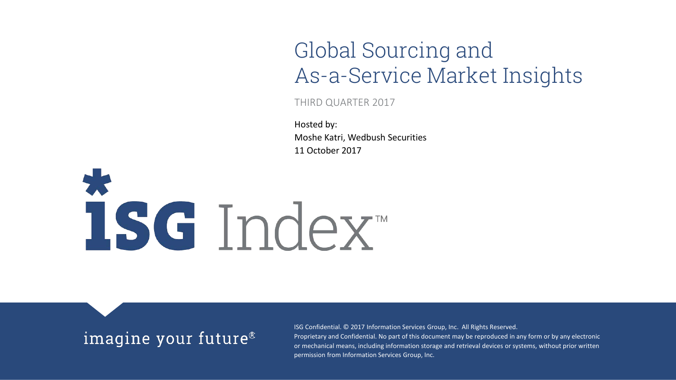### Global Sourcing and As-a-Service Market Insights

THIRD QUARTER 2017

Hosted by: Moshe Katri, Wedbush Securities 11 October 2017

# 1sc Index

### imagine your future<sup>®</sup>

ISG Confidential. © 2017 Information Services Group, Inc. All Rights Reserved. Proprietary and Confidential. No part of this document may be reproduced in any form or by any electronic or mechanical means, including information storage and retrieval devices or systems, without prior written permission from Information Services Group, Inc.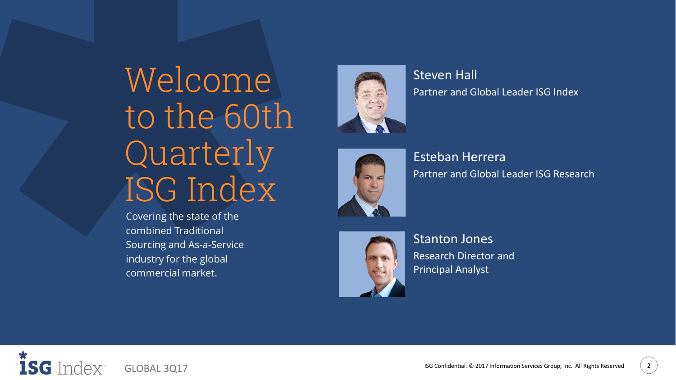# Welcome to the 60th Quarterly ISG Index

Covering the state of the combined Traditional Sourcing and As-a-Service industry for the global commercial market.



Steven Hall Partner and Global Leader ISG Index



Esteban Herrera Partner and Global Leader ISG Research



Stanton Jones Research Director and Principal Analyst

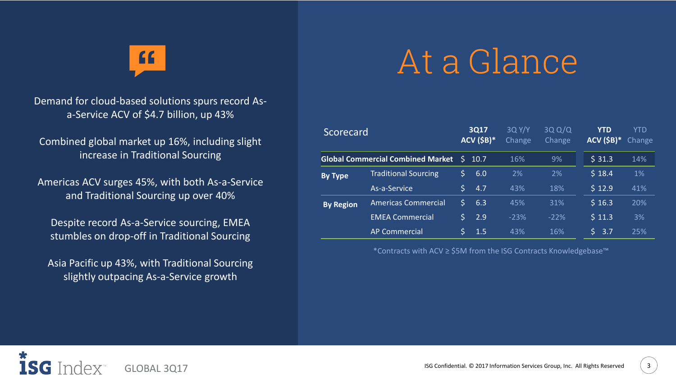$\mathbf{G}$ 

Demand for cloud-based solutions spurs record Asa-Service ACV of \$4.7 billion, up 43%

Combined global market up 16%, including slight increase in Traditional Sourcing

Americas ACV surges 45%, with both As-a-Service and Traditional Sourcing up over 40%

Despite record As-a-Service sourcing, EMEA stumbles on drop-off in Traditional Sourcing

Asia Pacific up 43%, with Traditional Sourcing slightly outpacing As-a-Service growth

## At a Glance

| Scorecard<br><b>Global Commercial Combined Market</b> |                             | 3Q17<br>$ACV$ (\$B)* |      | 3Q Y/Y<br>Change | 3QQ/Q<br>Change | <b>YTD</b><br>$ACV$ (\$B)* | YTD<br>Change |
|-------------------------------------------------------|-----------------------------|----------------------|------|------------------|-----------------|----------------------------|---------------|
|                                                       |                             | S.                   | 10.7 | 16%              | 9%              | \$31.3                     | 14%           |
| <b>By Type</b>                                        | <b>Traditional Sourcing</b> | S                    | 6.0  | 2%               | 2%              | \$18.4                     | $1\%$         |
|                                                       | As-a-Service                | Š.                   | 4.7  | 43%              | 18%             | \$12.9                     | 41%           |
| <b>By Region</b>                                      | <b>Americas Commercial</b>  | Ś                    | 6.3  | 45%              | 31%             | \$16.3                     | 20%           |
|                                                       | <b>EMEA Commercial</b>      | Ś                    | 2.9  | $-23%$           | $-22%$          | \$11.3                     | 3%            |
|                                                       | <b>AP Commercial</b>        |                      | 1.5  | 43%              | 16%             | Š.<br>3.7                  | 25%           |

\*Contracts with ACV ≥ \$5M from the ISG Contracts Knowledgebase™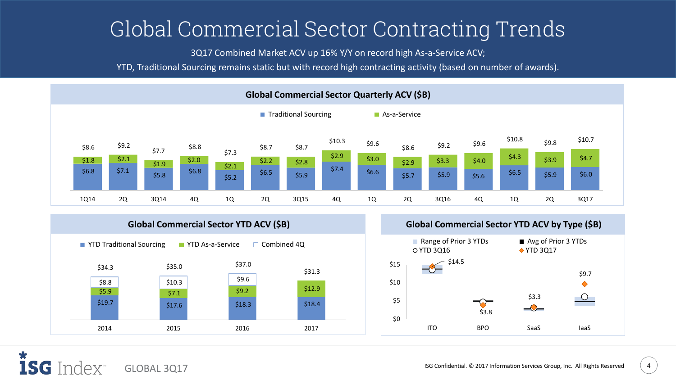### Global Commercial Sector Contracting Trends

3Q17 Combined Market ACV up 16% Y/Y on record high As-a-Service ACV;

YTD, Traditional Sourcing remains static but with record high contracting activity (based on number of awards).







1SG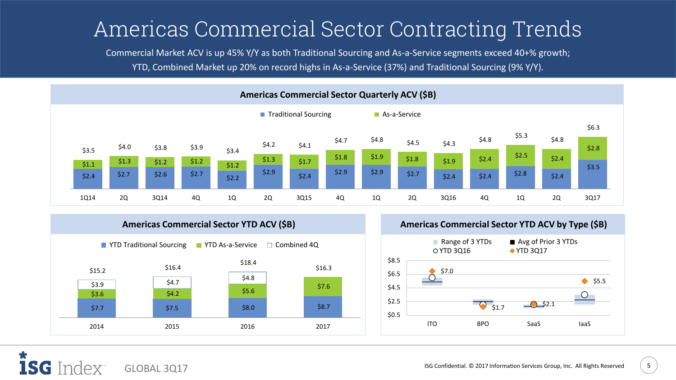### Americas Commercial Sector Contracting Trends

Commercial Market ACV is up 45% Y/Y as both Traditional Sourcing and As-a-Service segments exceed 40+% growth; YTD, Combined Market up 20% on record highs in As-a-Service (37%) and Traditional Sourcing (9% Y/Y).





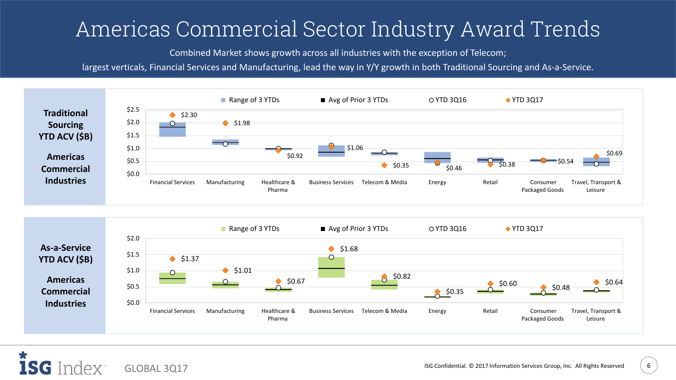### Americas Commercial Sector Industry Award Trends

Combined Market shows growth across all industries with the exception of Telecom;

largest verticals, Financial Services and Manufacturing, lead the way in Y/Y growth in both Traditional Sourcing and As-a-Service.



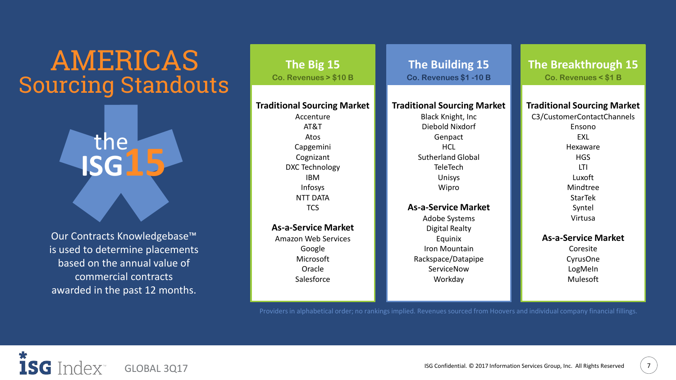### Sourcing Standouts **Paint Co. Revenues > \$10 B** AMERICAS

he

**ISG15**

Our Contracts Knowledgebase™ is used to determine placements based on the annual value of commercial contracts awarded in the past 12 months.

#### **Traditional Sourcing Market**

Accenture AT&T Atos Capgemini Cognizant DXC Technology IBM Infosys NTT DATA **TCS** 

**As-a-Service Market** Amazon Web Services Google Microsoft Oracle Salesforce

#### **Traditional Sourcing Market**

Black Knight, Inc Diebold Nixdorf **Genpact** HCL Sutherland Global **TeleTech** Unisys Wipro

**As-a-Service Market** Adobe Systems Digital Realty Equinix Iron Mountain Rackspace/Datapipe ServiceNow **Workday** 

**The Big 15 The Building 15 The Breakthrough 15 Co. Revenues \$1 -10 B Co. Revenues < \$1 B**

#### **Traditional Sourcing Market**

C3/CustomerContactChannels Ensono EXL Hexaware **HGS** LTI Luxoft Mindtree StarTek Syntel Virtusa

#### **As-a-Service Market**

Coresite CyrusOne LogMeIn Mulesoft

Providers in alphabetical order; no rankings implied. Revenues sourced from Hoovers and individual company financial fillings.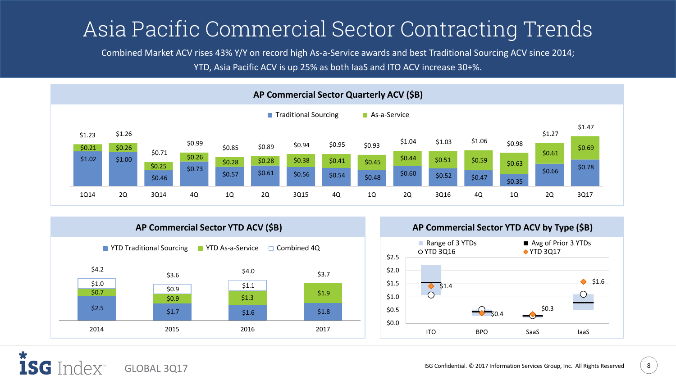### Asia Pacific Commercial Sector Contracting Trends

Combined Market ACV rises 43% Y/Y on record high As-a-Service awards and best Traditional Sourcing ACV since 2014; YTD, Asia Pacific ACV is up 25% as both IaaS and ITO ACV increase 30+%.







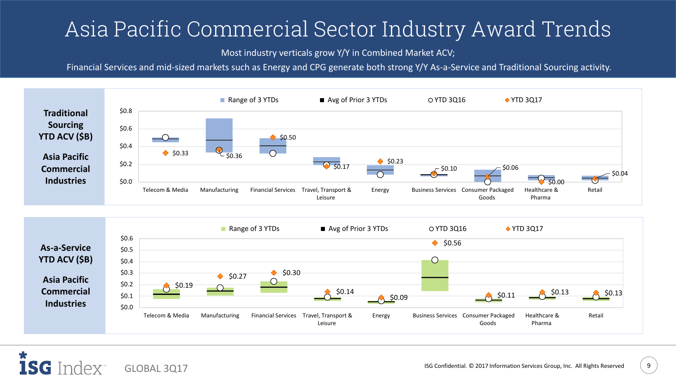### Asia Pacific Commercial Sector Industry Award Trends

Most industry verticals grow Y/Y in Combined Market ACV;

Financial Services and mid-sized markets such as Energy and CPG generate both strong Y/Y As-a-Service and Traditional Sourcing activity.

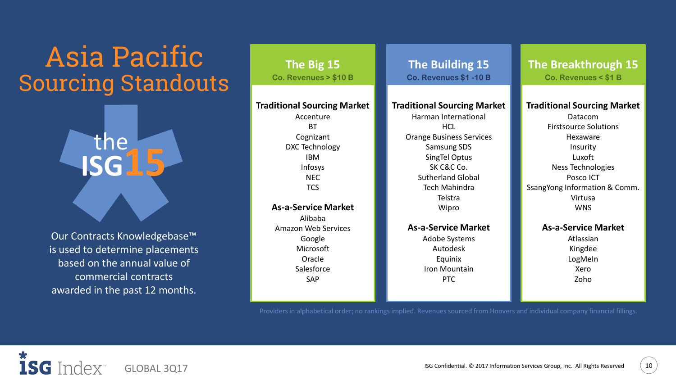### Sourcing Standouts  $\int_0^{\infty}$ . Revenues > \$10 B Asia Pacific

he

**ISG15**

Our Contracts Knowledgebase™ is used to determine placements based on the annual value of commercial contracts awarded in the past 12 months.

#### **Traditional Sourcing Market**

Accenture **BT** Cognizant DXC Technology IBM Infosys NEC **TCS** 

**As-a-Service Market** Alibaba Amazon Web Services Google Microsoft Oracle Salesforce SAP

#### **Traditional Sourcing Market**

Harman International HCL. Orange Business Services Samsung SDS SingTel Optus SK C&C Co. Sutherland Global Tech Mahindra Telstra Wipro

#### **As-a-Service Market**

Adobe Systems Autodesk Equinix Iron Mountain PTC

**The Big 15 The Building 15 The Breakthrough 15 Co. Revenues \$1 -10 B Co. Revenues < \$1 B**

#### **Traditional Sourcing Market**

Datacom Firstsource Solutions Hexaware Insurity Luxoft Ness Technologies Posco ICT SsangYong Information & Comm. Virtusa WNS

#### **As-a-Service Market**

Atlassian Kingdee LogMeIn Xero Zoho

Providers in alphabetical order; no rankings implied. Revenues sourced from Hoovers and individual company financial fillings.

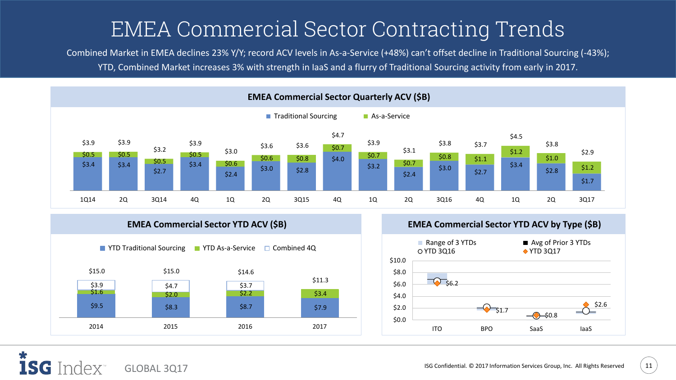### EMEA Commercial Sector Contracting Trends

Combined Market in EMEA declines 23% Y/Y; record ACV levels in As-a-Service (+48%) can't offset decline in Traditional Sourcing (-43%); YTD, Combined Market increases 3% with strength in IaaS and a flurry of Traditional Sourcing activity from early in 2017.





**EMEA Commercial Sector YTD ACV (\$B) EMEA Commercial Sector YTD ACV by Type (\$B)**

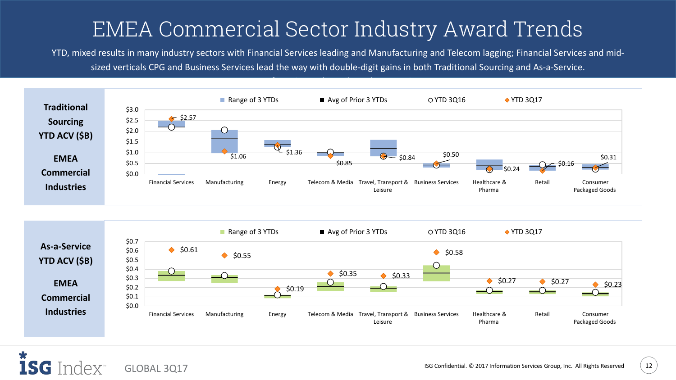### EMEA Commercial Sector Industry Award Trends

YTD, mixed results in many industry sectors with Financial Services leading and Manufacturing and Telecom lagging; Financial Services and midsized verticals CPG and Business Services lead the way with double-digit gains in both Traditional Sourcing and As-a-Service.



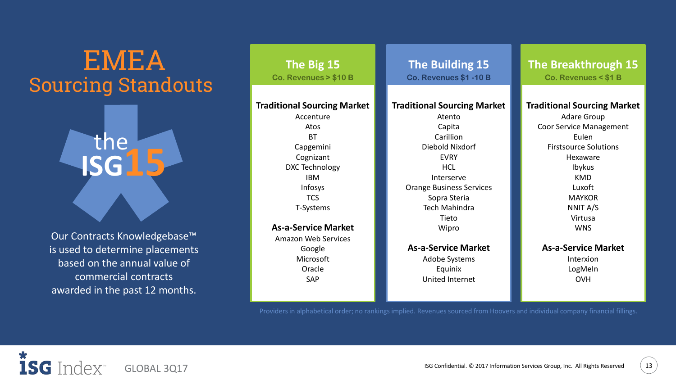### Sourcing Standouts EMEA

he

**ISG15**

Our Contracts Knowledgebase™ is used to determine placements based on the annual value of commercial contracts awarded in the past 12 months.

#### **Traditional Sourcing Market**

Accenture Atos BT Capgemini Cognizant DXC Technology IBM Infosys TCS T-Systems

**As-a-Service Market** Amazon Web Services Google Microsoft Oracle SAP

#### **Traditional Sourcing Market**

Atento Capita Carillion Diebold Nixdorf EVRY **HCL** Interserve Orange Business Services Sopra Steria Tech Mahindra Tieto Wipro

**As-a-Service Market** Adobe Systems Equinix United Internet

**The Big 15 The Building 15 The Breakthrough 15 Co. Revenues \$1 -10 B Co. Revenues < \$1 B**

#### **Traditional Sourcing Market**

Adare Group Coor Service Management Eulen Firstsource Solutions Hexaware Ibykus KMD Luxoft MAYKOR NNIT A/S Virtusa **WNS** 

**As-a-Service Market** Interxion LogMeIn

OVH

Providers in alphabetical order; no rankings implied. Revenues sourced from Hoovers and individual company financial fillings.



ISG Confidential. © 2017 Information Services Group, Inc. All Rights Reserved (13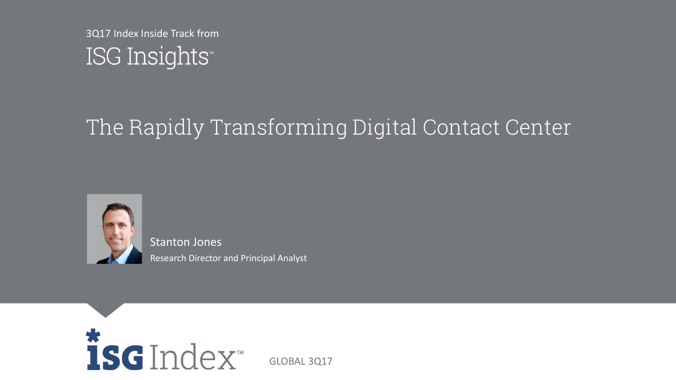3Q17 Index Inside Track fromISG Insights®

### The Rapidly Transforming Digital Contact Center



Stanton Jones Research Director and Principal Analyst



GLOBAL 3Q17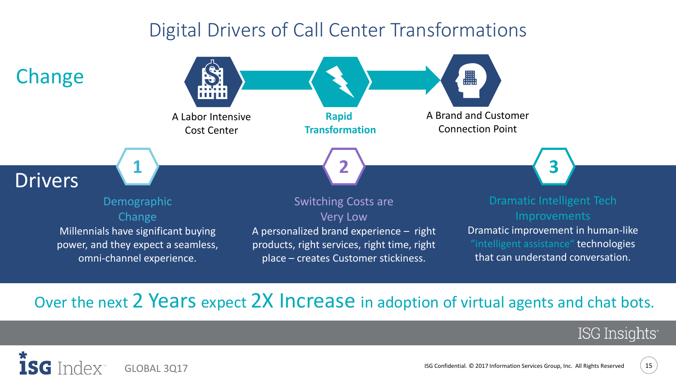### Digital Drivers of Call Center Transformations



### Over the next 2 Years expect 2X Increase in adoption of virtual agents and chat bots.

### ISG Insights<sup>®</sup>

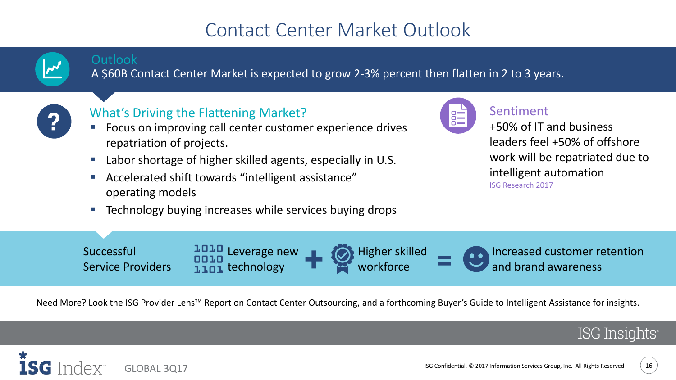### Contact Center Market Outlook



#### **Outlook**

A \$60B Contact Center Market is expected to grow 2-3% percent then flatten in 2 to 3 years.



#### What's Driving the Flattening Market?

- Focus on improving call center customer experience drives repatriation of projects.
- Labor shortage of higher skilled agents, especially in U.S.
- Accelerated shift towards "intelligent assistance" operating models
- Technology buying increases while services buying drops



#### Sentiment

+50% of IT and business leaders feel +50% of offshore work will be repatriated due to intelligent automation ISG Research 2017



Need More? Look the ISG Provider Lens<sup>™</sup> Report on Contact Center Outsourcing, and a forthcoming Buyer's Guide to Intelligent Assistance for insights.



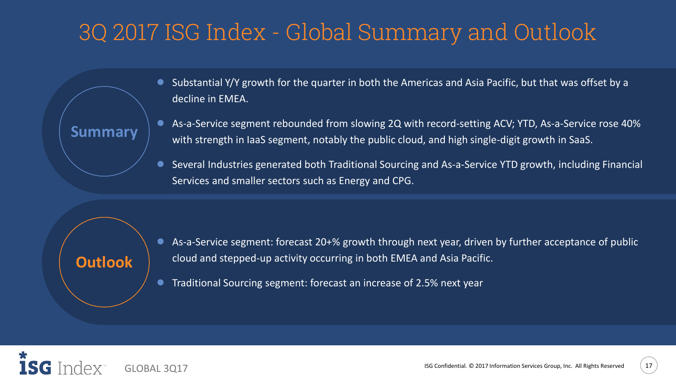### 3Q 2017 ISG Index - Global Summary and Outlook

- Substantial Y/Y growth for the quarter in both the Americas and Asia Pacific, but that was offset by a decline in EMEA.
- As-a-Service segment rebounded from slowing 2Q with record-setting ACV; YTD, As-a-Service rose 40% with strength in IaaS segment, notably the public cloud, and high single-digit growth in SaaS.
- Several Industries generated both Traditional Sourcing and As-a-Service YTD growth, including Financial Services and smaller sectors such as Energy and CPG.

### **Outlook**

**Summary**

- As-a-Service segment: forecast 20+% growth through next year, driven by further acceptance of public cloud and stepped-up activity occurring in both EMEA and Asia Pacific.
- Traditional Sourcing segment: forecast an increase of 2.5% next year

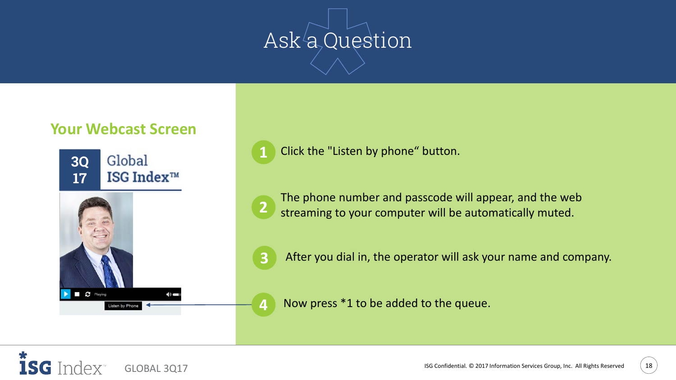# Ask<sup>/</sup>a, Question

#### **Your Webcast Screen**



**1** Click the "Listen by phone" button.

**2** The phone number and passcode will appear, and the web streaming to your computer will be automatically muted.

**3** After you dial in, the operator will ask your name and company.

**4** Now press \*1 to be added to the queue.

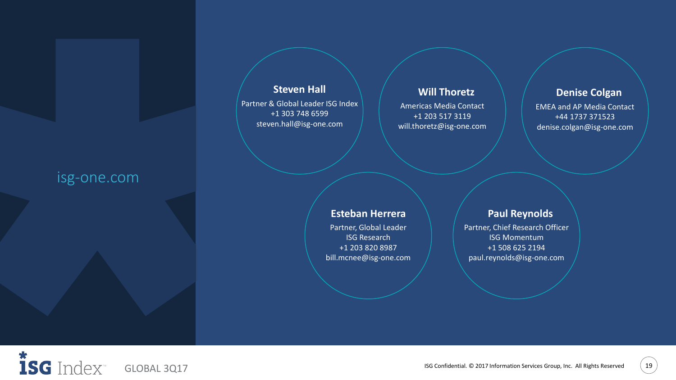#### isg-one.com

#### **Steven Hall**

Partner & Global Leader ISG Index +1 303 748 6599 steven.hall@isg-one.com

#### **Will Thoretz**

Americas Media Contact +1 203 517 3119 will.thoretz@isg-one.com

#### **Denise Colgan**

EMEA and AP Media Contact +44 1737 371523 denise.colgan@isg-one.com

#### **Esteban Herrera**

Partner, Global Leader ISG Research +1 203 820 8987 bill.mcnee@isg-one.com

#### **Paul Reynolds**

Partner, Chief Research Officer ISG Momentum +1 508 625 2194 paul.reynolds@isg-one.com

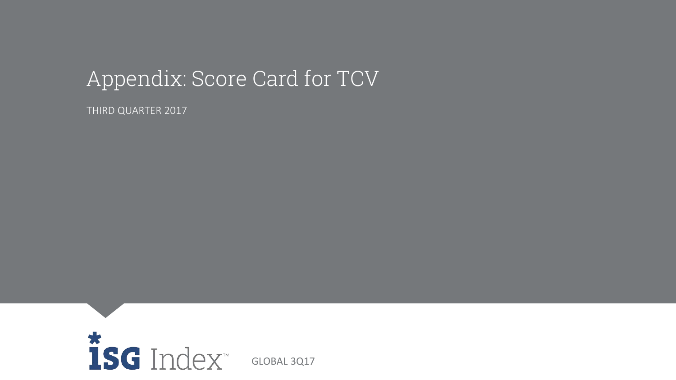### Appendix: Score Card for TCV

THIRD QUARTER 2017



GLOBAL 4Q16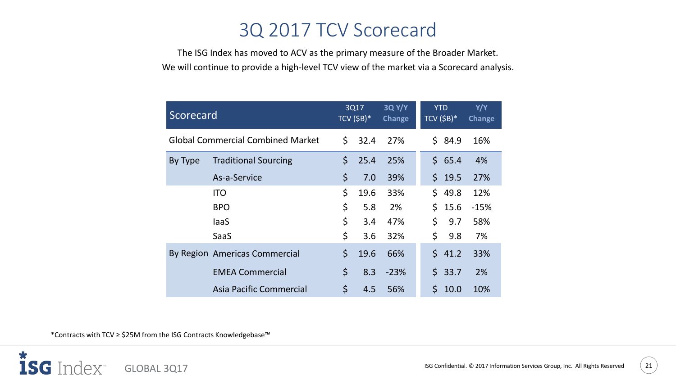### 3Q 2017 TCV Scorecard

The ISG Index has moved to ACV as the primary measure of the Broader Market. We will continue to provide a high-level TCV view of the market via a Scorecard analysis.

| Scorecard                                |                               |         | 3Q17<br>TCV $(5B)^*$ | <b>3Q Y/Y</b><br><b>Change</b> |     | <b>YTD</b><br>TCV $(5B)^*$ | Y/Y<br>Change |
|------------------------------------------|-------------------------------|---------|----------------------|--------------------------------|-----|----------------------------|---------------|
| <b>Global Commercial Combined Market</b> |                               | \$      | 32.4                 | 27%                            | \$. | 84.9                       | 16%           |
| By Type                                  | <b>Traditional Sourcing</b>   | $\zeta$ | 25.4                 | 25%                            |     | \$65.4                     | 4%            |
|                                          | As-a-Service                  | $\zeta$ | 7.0                  | 39%                            | \$. | 19.5                       | 27%           |
|                                          | <b>ITO</b>                    | \$      | 19.6                 | 33%                            | \$. | 49.8                       | 12%           |
|                                          | <b>BPO</b>                    | \$      | 5.8                  | 2%                             | Ś.  | 15.6                       | $-15%$        |
|                                          | laaS                          | \$      | 3.4                  | 47%                            | \$  | 9.7                        | 58%           |
|                                          | SaaS                          | $\zeta$ | 3.6                  | 32%                            | \$  | 9.8                        | 7%            |
|                                          | By Region Americas Commercial | \$      | 19.6                 | 66%                            | Ś.  | 41.2                       | 33%           |
|                                          | <b>EMEA Commercial</b>        | \$      | 8.3                  | $-23%$                         | Ś.  | 33.7                       | 2%            |
|                                          | Asia Pacific Commercial       | $\zeta$ | 4.5                  | 56%                            | \$  | 10.0                       | 10%           |

\*Contracts with TCV ≥ \$25M from the ISG Contracts Knowledgebase™